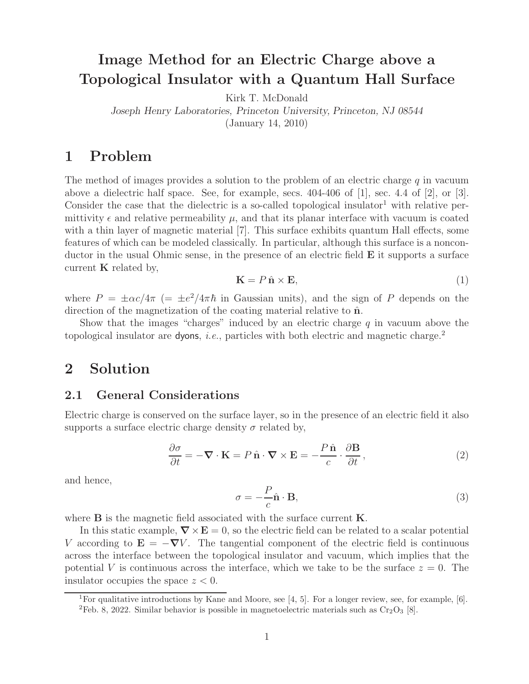# **Image Method for an Electric Charge above a Topological Insulator with a Quantum Hall Surface**

Kirk T. McDonald

*Joseph Henry Laboratories, Princeton University, Princeton, NJ 08544*

(January 14, 2010)

## **1 Problem**

The method of images provides a solution to the problem of an electric charge  $q$  in vacuum above a dielectric half space. See, for example, secs.  $404-406$  of [1], sec. 4.4 of [2], or [3]. Consider the case that the dielectric is a so-called topological insulator<sup>1</sup> with relative permittivity  $\epsilon$  and relative permeability  $\mu$ , and that its planar interface with vacuum is coated with a thin layer of magnetic material [7]. This surface exhibits quantum Hall effects, some features of which can be modeled classically. In particular, although this surface is a nonconductor in the usual Ohmic sense, in the presence of an electric field **E** it supports a surface current **K** related by,

$$
\mathbf{K} = P \,\hat{\mathbf{n}} \times \mathbf{E},\tag{1}
$$

where  $P = \pm \alpha c/4\pi$  (=  $\pm e^2/4\pi\hbar$  in Gaussian units), and the sign of P depends on the direction of the magnetization of the coating material relative to  $\hat{\mathbf{n}}$ .

Show that the images "charges" induced by an electric charge  $q$  in vacuum above the topological insulator are dyons, *i.e.*, particles with both electric and magnetic charge.<sup>2</sup>

## **2 Solution**

#### **2.1 General Considerations**

Electric charge is conserved on the surface layer, so in the presence of an electric field it also supports a surface electric charge density  $\sigma$  related by,

$$
\frac{\partial \sigma}{\partial t} = -\nabla \cdot \mathbf{K} = P \,\hat{\mathbf{n}} \cdot \nabla \times \mathbf{E} = -\frac{P \,\hat{\mathbf{n}}}{c} \cdot \frac{\partial \mathbf{B}}{\partial t},\tag{2}
$$

and hence,

$$
\sigma = -\frac{P}{c}\hat{\mathbf{n}} \cdot \mathbf{B},\tag{3}
$$

where **B** is the magnetic field associated with the surface current **K**.

In this static example,  $\nabla \times \mathbf{E} = 0$ , so the electric field can be related to a scalar potential V according to  $\mathbf{E} = -\nabla V$ . The tangential component of the electric field is continuous across the interface between the topological insulator and vacuum, which implies that the potential V is continuous across the interface, which we take to be the surface  $z = 0$ . The insulator occupies the space  $z < 0$ .

<sup>&</sup>lt;sup>1</sup>For qualitative introductions by Kane and Moore, see [4, 5]. For a longer review, see, for example, [6].

<sup>&</sup>lt;sup>2</sup>Feb. 8, 2022. Similar behavior is possible in magnetoelectric materials such as  $Cr_2O_3$  [8].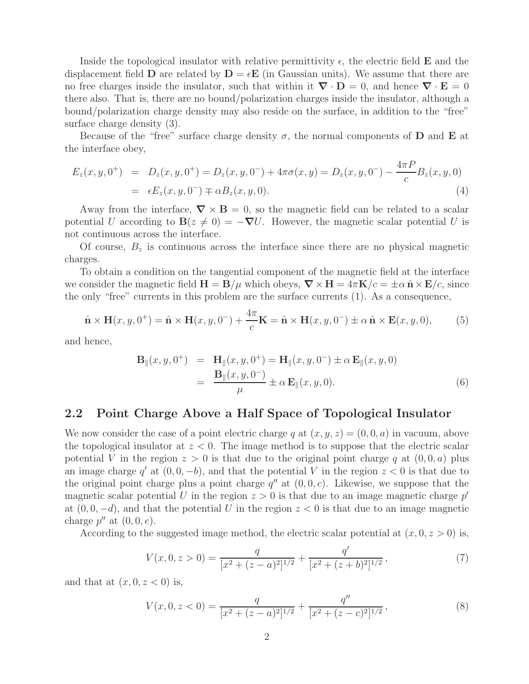Inside the topological insulator with relative permittivity  $\epsilon$ , the electric field **E** and the displacement field **D** are related by  $\mathbf{D} = \epsilon \mathbf{E}$  (in Gaussian units). We assume that there are no free charges inside the insulator, such that within it  $\nabla \cdot \mathbf{D} = 0$ , and hence  $\nabla \cdot \mathbf{E} = 0$ there also. That is, there are no bound/polarization charges inside the insulator, although a bound/polarization charge density may also reside on the surface, in addition to the "free" surface charge density (3).

Because of the "free" surface charge density  $\sigma$ , the normal components of **D** and **E** at the interface obey,

$$
E_z(x, y, 0^+) = D_z(x, y, 0^+) = D_z(x, y, 0^-) + 4\pi\sigma(x, y) = D_z(x, y, 0^-) - \frac{4\pi P}{c}B_z(x, y, 0)
$$
  
=  $\epsilon E_z(x, y, 0^-) \mp \alpha B_z(x, y, 0)$ . (4)

Away from the interface,  $\nabla \times \mathbf{B} = 0$ , so the magnetic field can be related to a scalar potential U according to  $\mathbf{B}(z \neq 0) = -\nabla U$ . However, the magnetic scalar potential U is not continuous across the interface.

Of course,  $B_z$  is continuous across the interface since there are no physical magnetic charges.

To obtain a condition on the tangential component of the magnetic field at the interface we consider the magnetic field  $\mathbf{H} = \mathbf{B}/\mu$  which obeys,  $\nabla \times \mathbf{H} = 4\pi \mathbf{K}/c = \pm \alpha \hat{\mathbf{n}} \times \mathbf{E}/c$ , since the only "free" currents in this problem are the surface currents (1). As a consequence,

$$
\hat{\mathbf{n}} \times \mathbf{H}(x, y, 0^+) = \hat{\mathbf{n}} \times \mathbf{H}(x, y, 0^-) + \frac{4\pi}{c} \mathbf{K} = \hat{\mathbf{n}} \times \mathbf{H}(x, y, 0^-) \pm \alpha \hat{\mathbf{n}} \times \mathbf{E}(x, y, 0),
$$
(5)

and hence,

$$
\mathbf{B}_{\parallel}(x, y, 0^{+}) = \mathbf{H}_{\parallel}(x, y, 0^{+}) = \mathbf{H}_{\parallel}(x, y, 0^{-}) \pm \alpha \mathbf{E}_{\parallel}(x, y, 0)
$$
  
= 
$$
\frac{\mathbf{B}_{\parallel}(x, y, 0^{-})}{\mu} \pm \alpha \mathbf{E}_{\parallel}(x, y, 0).
$$
 (6)

#### **2.2 Point Charge Above a Half Space of Topological Insulator**

We now consider the case of a point electric charge q at  $(x, y, z) = (0, 0, a)$  in vacuum, above the topological insulator at  $z < 0$ . The image method is to suppose that the electric scalar potential V in the region  $z > 0$  is that due to the original point charge q at  $(0, 0, a)$  plus an image charge q' at  $(0, 0, -b)$ , and that the potential V in the region  $z < 0$  is that due to the original point charge plus a point charge  $q''$  at  $(0, 0, c)$ . Likewise, we suppose that the magnetic scalar potential U in the region  $z > 0$  is that due to an image magnetic charge  $p'$ at  $(0, 0, -d)$ , and that the potential U in the region  $z < 0$  is that due to an image magnetic charge  $p''$  at  $(0, 0, e)$ .

According to the suggested image method, the electric scalar potential at  $(x, 0, z > 0)$  is,

$$
V(x, 0, z > 0) = \frac{q}{[x^2 + (z - a)^2]^{1/2}} + \frac{q'}{[x^2 + (z + b)^2]^{1/2}},
$$
\n(7)

and that at  $(x, 0, z < 0)$  is,

$$
V(x, 0, z < 0) = \frac{q}{[x^2 + (z - a)^2]^{1/2}} + \frac{q''}{[x^2 + (z - c)^2]^{1/2}},\tag{8}
$$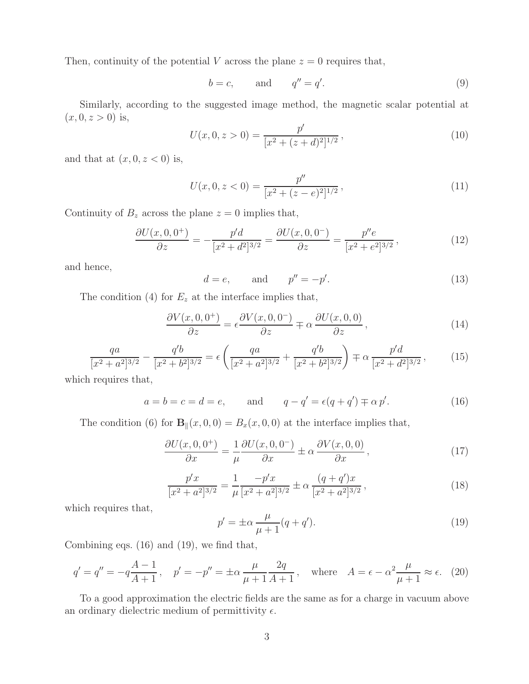Then, continuity of the potential V across the plane  $z = 0$  requires that,

$$
b = c, \qquad \text{and} \qquad q'' = q'. \tag{9}
$$

Similarly, according to the suggested image method, the magnetic scalar potential at  $(x, 0, z > 0)$  is,

$$
U(x, 0, z > 0) = \frac{p'}{[x^2 + (z + d)^2]^{1/2}},
$$
\n(10)

and that at  $(x, 0, z < 0)$  is,

$$
U(x, 0, z < 0) = \frac{p''}{[x^2 + (z - e)^2]^{1/2}},\tag{11}
$$

Continuity of  $B_z$  across the plane  $z = 0$  implies that,

$$
\frac{\partial U(x,0,0^{+})}{\partial z} = -\frac{p'd}{[x^{2}+d^{2}]^{3/2}} = \frac{\partial U(x,0,0^{-})}{\partial z} = \frac{p''e}{[x^{2}+e^{2}]^{3/2}},
$$
\n(12)

and hence,

$$
d = e, \qquad \text{and} \qquad p'' = -p'. \tag{13}
$$

The condition  $(4)$  for  $E_z$  at the interface implies that,

$$
\frac{\partial V(x,0,0^{+})}{\partial z} = \epsilon \frac{\partial V(x,0,0^{-})}{\partial z} \mp \alpha \frac{\partial U(x,0,0)}{\partial z},\tag{14}
$$

$$
\frac{qa}{[x^2+a^2]^{3/2}} - \frac{q'b}{[x^2+b^2]^{3/2}} = \epsilon \left( \frac{qa}{[x^2+a^2]^{3/2}} + \frac{q'b}{[x^2+b^2]^{3/2}} \right) \mp \alpha \frac{p'd}{[x^2+d^2]^{3/2}},\tag{15}
$$

which requires that,

$$
a = b = c = d = e, \qquad \text{and} \qquad q - q' = \epsilon(q + q') \mp \alpha p'. \tag{16}
$$

The condition (6) for  $\mathbf{B}_{\parallel}(x, 0, 0) = B_x(x, 0, 0)$  at the interface implies that,

$$
\frac{\partial U(x,0,0^{+})}{\partial x} = \frac{1}{\mu} \frac{\partial U(x,0,0^{-})}{\partial x} \pm \alpha \frac{\partial V(x,0,0)}{\partial x},\tag{17}
$$

$$
\frac{p'x}{[x^2+a^2]^{3/2}} = \frac{1}{\mu} \frac{-p'x}{[x^2+a^2]^{3/2}} \pm \alpha \frac{(q+q')x}{[x^2+a^2]^{3/2}},
$$
\n(18)

which requires that,

$$
p' = \pm \alpha \frac{\mu}{\mu + 1} (q + q'). \tag{19}
$$

Combining eqs. (16) and (19), we find that,

$$
q' = q'' = -q\frac{A-1}{A+1}, \quad p' = -p'' = \pm \alpha \frac{\mu}{\mu+1} \frac{2q}{A+1}, \text{ where } A = \epsilon - \alpha^2 \frac{\mu}{\mu+1} \approx \epsilon.
$$
 (20)

To a good approximation the electric fields are the same as for a charge in vacuum above an ordinary dielectric medium of permittivity  $\epsilon$ .